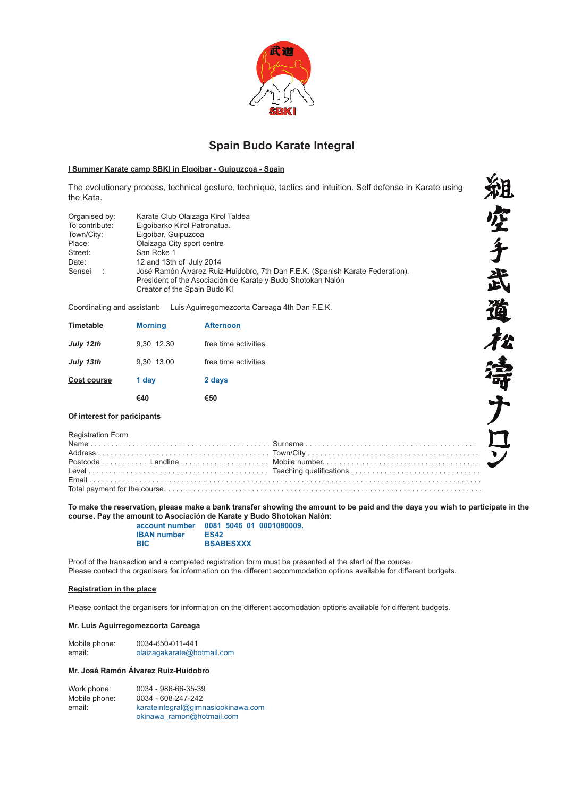

# **Spain Budo Karate Integral**

#### **I Summer Karate camp SBKI in Elgoibar - Guipuzcoa - Spain**

The evolutionary process, technical gesture, technique, tactics and intuition. Self defense in Karate using the Kata.

| Organised by:<br>Karate Club Olaizaga Kirol Taldea<br>To contribute:<br>Elgoibarko Kirol Patronatua.<br>Elgoibar, Guipuzcoa<br>Town/City:<br>Olaizaga City sport centre<br>Place:<br>San Roke 1<br>Street:<br>12 and 13th of July 2014<br>Date:<br>José Ramón Álvarez Ruiz-Huidobro, 7th Dan F.E.K. (Spanish Karate Federation).<br>Sensei :<br>President of the Asociación de Karate y Budo Shotokan Nalón<br>Creator of the Spain Budo KI |  |
|---------------------------------------------------------------------------------------------------------------------------------------------------------------------------------------------------------------------------------------------------------------------------------------------------------------------------------------------------------------------------------------------------------------------------------------------|--|
|---------------------------------------------------------------------------------------------------------------------------------------------------------------------------------------------------------------------------------------------------------------------------------------------------------------------------------------------------------------------------------------------------------------------------------------------|--|

Coordinating and assistant: Luis Aguirregomezcorta Careaga 4th Dan F.E.K.

|                    | €40            | €50                  |
|--------------------|----------------|----------------------|
| <b>Cost course</b> | 1 day          | 2 days               |
| July 13th          | 9.30 13.00     | free time activities |
| July 12th          | 9.30 12.30     | free time activities |
| Timetable          | <b>Morning</b> | <b>Afternoon</b>     |

#### **Of interest for paricipants**

Registration Form Name . . . . . . . . . . . . . . . . . . . . . . . . . . . . . . . . . . . . . . . . . . . Surname . . . . . . . . . . . . . . . . . . . . . . . . . . . . . . . . . . . . . . . . . Address . . . . . . . . . . . . . . . . . . . . . . . . . . . . . . . . . . . . . . . . . Town/City . . . . . . . . . . . . . . . . . . . . . . . . . . . . . . . . . . . . . . . . . Postcode . . . . . . . . . . . .Landline . . . . . . . . . . . . . . . . . . . . . Mobile number. . . . . . . . . . . . . . . . . . . . . . . . . . . . . . . . . . . . . Level . . . . . . . . . . . . . . . . . . . . . . . . . . . . . . . . . . . . . . . . . . . Teaching qualifications . . . . . . . . . . . . . . . . . . . . . . . . . . . . . . . Email . . . . . . . . . . . . . . . . . . . . . . . . . . . .. . . . . . . . . . . . . . . . . . . . . . . . . . . . . . . . . . . . . . . . . . . . . . . . . . . . . . . . . . . . . . . . . . Total payment for the course. . . . . . . . . . . . . . . . . . . . . . . . . . . . . . . . . . . . . . . . . . . . . . . . . . . . . . . . . . . . . . . . . . . . . . . . . . . .

To make the reservation, please make a bank transfer showing the amount to be paid and the days you wish to participate in the **course. Pay the amount to Asociación de Karate y Budo Shotokan Nalón: account number 0081 5046 01 0001080009.**

粗空手武道松涛子

| account number     | 0081 5046 01     |  |
|--------------------|------------------|--|
| <b>IBAN</b> number | <b>ES42</b>      |  |
| <b>BIC</b>         | <b>BSABESXXX</b> |  |

Proof of the transaction and a completed registration form must be presented at the start of the course. Please contact the organisers for information on the different accommodation options available for different budgets.

### **Registration in the place**

Please contact the organisers for information on the different accomodation options available for different budgets.

## **Mr. Luis Aguirregomezcorta Careaga**

| Mobile phone: | 0034-650-011-441           |
|---------------|----------------------------|
| email:        | olaizagakarate@hotmail.com |

## **Mr. José Ramón Álvarez Ruiz-Huidobro**

Work phone: 0034 - 986-66-35-39<br>Mobile phone: 0034 - 608-247-242 Mobile phone: 0034 - 608-247-242<br>email: karateintegral@gimi karateintegral@gimnasiookinawa.com okinawa\_ramon@hotmail.com